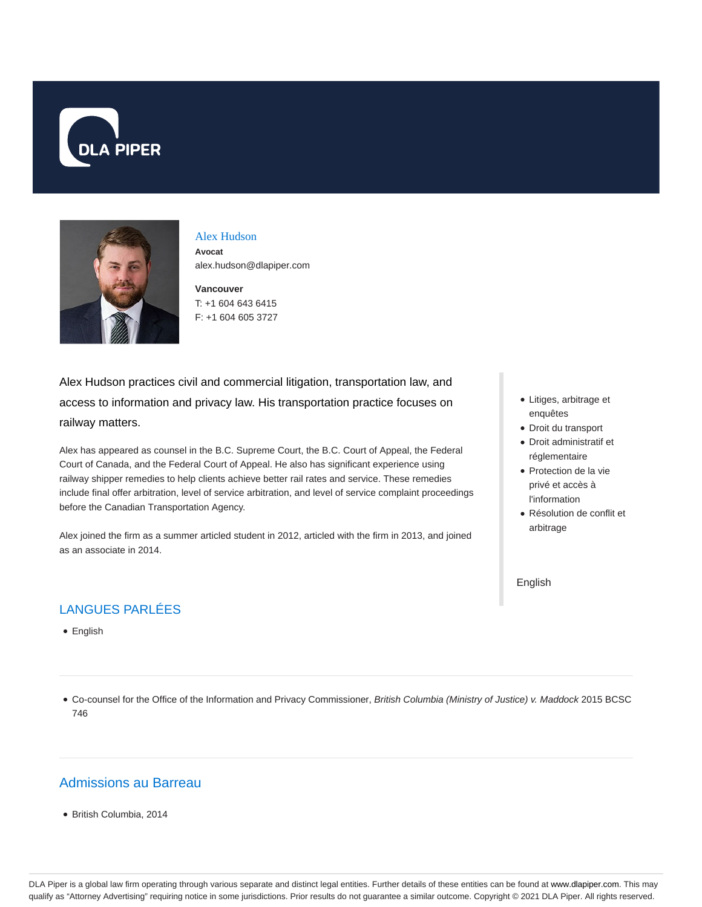



#### Alex Hudson **Avocat**

alex.hudson@dlapiper.com

**Vancouver** T: +1 604 643 6415 F: +1 604 605 3727

Alex Hudson practices civil and commercial litigation, transportation law, and access to information and privacy law. His transportation practice focuses on railway matters.

Alex has appeared as counsel in the B.C. Supreme Court, the B.C. Court of Appeal, the Federal Court of Canada, and the Federal Court of Appeal. He also has significant experience using railway shipper remedies to help clients achieve better rail rates and service. These remedies include final offer arbitration, level of service arbitration, and level of service complaint proceedings before the Canadian Transportation Agency.

Alex joined the firm as a summer articled student in 2012, articled with the firm in 2013, and joined as an associate in 2014.

# LANGUES PARLÉES

• English

- Litiges, arbitrage et enquêtes
- Droit du transport
- Droit administratif et réglementaire
- Protection de la vie privé et accès à l'information
- Résolution de conflit et arbitrage

English

Co-counsel for the Office of the Information and Privacy Commissioner, British Columbia (Ministry of Justice) v. Maddock 2015 BCSC 746

## Admissions au Barreau

British Columbia, 2014

DLA Piper is a global law firm operating through various separate and distinct legal entities. Further details of these entities can be found at www.dlapiper.com. This may qualify as "Attorney Advertising" requiring notice in some jurisdictions. Prior results do not guarantee a similar outcome. Copyright @ 2021 DLA Piper. All rights reserved.